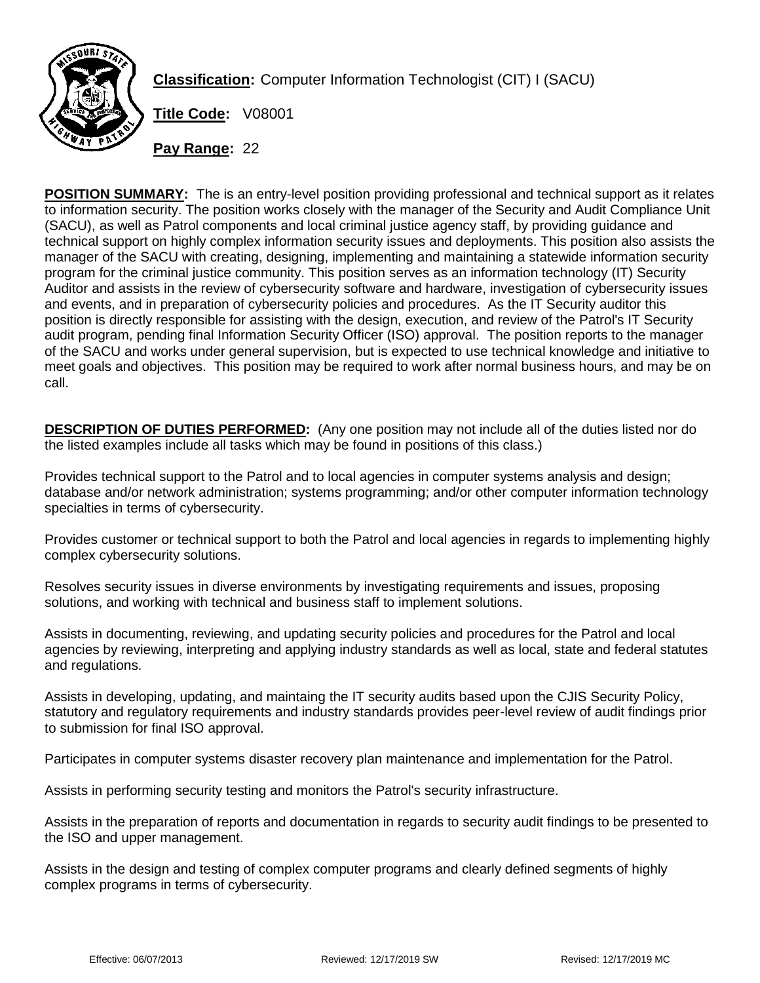

**Classification:** Computer Information Technologist (CIT) I (SACU)

**Title Code:** V08001

**Pay Range:** 22

**POSITION SUMMARY:** The is an entry-level position providing professional and technical support as it relates to information security. The position works closely with the manager of the Security and Audit Compliance Unit (SACU), as well as Patrol components and local criminal justice agency staff, by providing guidance and technical support on highly complex information security issues and deployments. This position also assists the manager of the SACU with creating, designing, implementing and maintaining a statewide information security program for the criminal justice community. This position serves as an information technology (IT) Security Auditor and assists in the review of cybersecurity software and hardware, investigation of cybersecurity issues and events, and in preparation of cybersecurity policies and procedures. As the IT Security auditor this position is directly responsible for assisting with the design, execution, and review of the Patrol's IT Security audit program, pending final Information Security Officer (ISO) approval. The position reports to the manager of the SACU and works under general supervision, but is expected to use technical knowledge and initiative to meet goals and objectives. This position may be required to work after normal business hours, and may be on call.

**DESCRIPTION OF DUTIES PERFORMED:** (Any one position may not include all of the duties listed nor do the listed examples include all tasks which may be found in positions of this class.)

Provides technical support to the Patrol and to local agencies in computer systems analysis and design; database and/or network administration; systems programming; and/or other computer information technology specialties in terms of cybersecurity.

Provides customer or technical support to both the Patrol and local agencies in regards to implementing highly complex cybersecurity solutions.

Resolves security issues in diverse environments by investigating requirements and issues, proposing solutions, and working with technical and business staff to implement solutions.

Assists in documenting, reviewing, and updating security policies and procedures for the Patrol and local agencies by reviewing, interpreting and applying industry standards as well as local, state and federal statutes and regulations.

Assists in developing, updating, and maintaing the IT security audits based upon the CJIS Security Policy, statutory and regulatory requirements and industry standards provides peer-level review of audit findings prior to submission for final ISO approval.

Participates in computer systems disaster recovery plan maintenance and implementation for the Patrol.

Assists in performing security testing and monitors the Patrol's security infrastructure.

Assists in the preparation of reports and documentation in regards to security audit findings to be presented to the ISO and upper management.

Assists in the design and testing of complex computer programs and clearly defined segments of highly complex programs in terms of cybersecurity.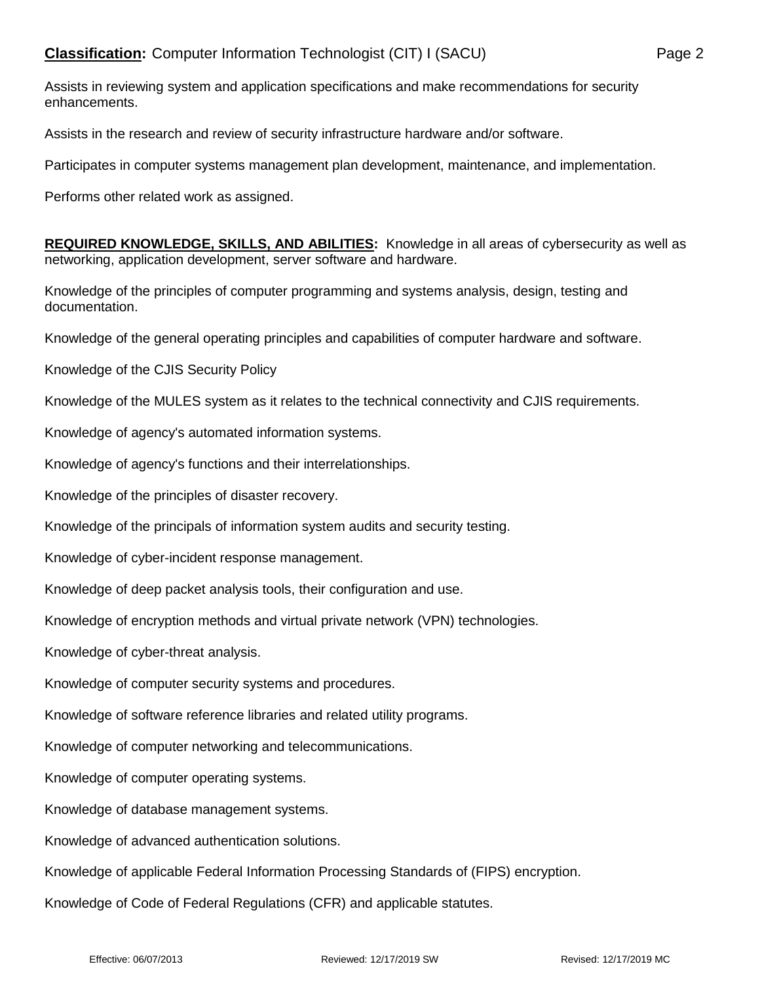Assists in reviewing system and application specifications and make recommendations for security enhancements.

Assists in the research and review of security infrastructure hardware and/or software.

Participates in computer systems management plan development, maintenance, and implementation.

Performs other related work as assigned.

**REQUIRED KNOWLEDGE, SKILLS, AND ABILITIES:** Knowledge in all areas of cybersecurity as well as networking, application development, server software and hardware.

Knowledge of the principles of computer programming and systems analysis, design, testing and documentation.

Knowledge of the general operating principles and capabilities of computer hardware and software.

Knowledge of the CJIS Security Policy

Knowledge of the MULES system as it relates to the technical connectivity and CJIS requirements.

Knowledge of agency's automated information systems.

Knowledge of agency's functions and their interrelationships.

Knowledge of the principles of disaster recovery.

Knowledge of the principals of information system audits and security testing.

Knowledge of cyber-incident response management.

Knowledge of deep packet analysis tools, their configuration and use.

Knowledge of encryption methods and virtual private network (VPN) technologies.

Knowledge of cyber-threat analysis.

Knowledge of computer security systems and procedures.

Knowledge of software reference libraries and related utility programs.

Knowledge of computer networking and telecommunications.

Knowledge of computer operating systems.

Knowledge of database management systems.

Knowledge of advanced authentication solutions.

Knowledge of applicable Federal Information Processing Standards of (FIPS) encryption.

Knowledge of Code of Federal Regulations (CFR) and applicable statutes.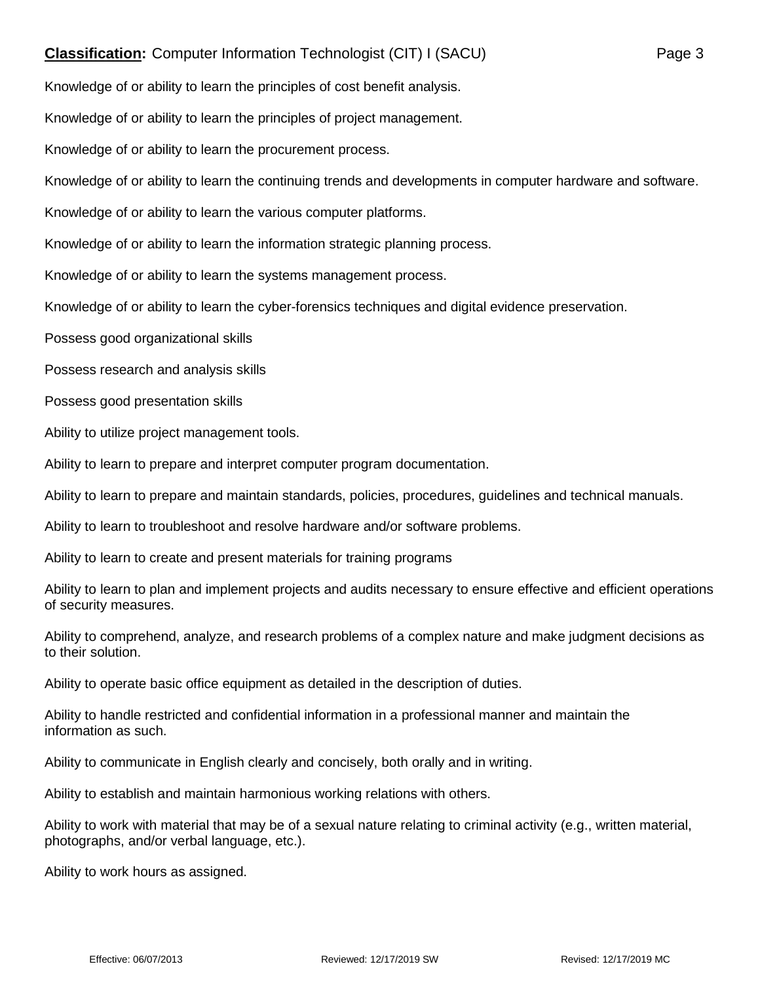## **Classification:** Computer Information Technologist (CIT) I (SACU) Page 3

Knowledge of or ability to learn the principles of cost benefit analysis.

Knowledge of or ability to learn the principles of project management.

Knowledge of or ability to learn the procurement process.

Knowledge of or ability to learn the continuing trends and developments in computer hardware and software.

Knowledge of or ability to learn the various computer platforms.

Knowledge of or ability to learn the information strategic planning process.

Knowledge of or ability to learn the systems management process.

Knowledge of or ability to learn the cyber-forensics techniques and digital evidence preservation.

Possess good organizational skills

Possess research and analysis skills

Possess good presentation skills

Ability to utilize project management tools.

Ability to learn to prepare and interpret computer program documentation.

Ability to learn to prepare and maintain standards, policies, procedures, guidelines and technical manuals.

Ability to learn to troubleshoot and resolve hardware and/or software problems.

Ability to learn to create and present materials for training programs

Ability to learn to plan and implement projects and audits necessary to ensure effective and efficient operations of security measures.

Ability to comprehend, analyze, and research problems of a complex nature and make judgment decisions as to their solution.

Ability to operate basic office equipment as detailed in the description of duties.

Ability to handle restricted and confidential information in a professional manner and maintain the information as such.

Ability to communicate in English clearly and concisely, both orally and in writing.

Ability to establish and maintain harmonious working relations with others.

Ability to work with material that may be of a sexual nature relating to criminal activity (e.g., written material, photographs, and/or verbal language, etc.).

Ability to work hours as assigned.